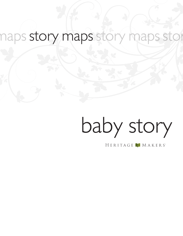# naps story maps story maps st

# baby story

HERITAGE MAKERS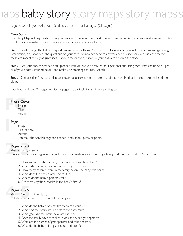# ps **baby story** story maps story ma

A guide to help you write your family's stories—your heritage. (21 pages)

#### *Directions:*

This Story Map will help guide you as you write and preserve your most precious memories. As you combine stories and photos you'll create a valuable treasure that can be shared for many years to come.

**Step I.** Read through the following questions and answer them. You may need to involve others with interviews and gathering information, or just answer the questions on your own. You do not need to answer each question or even use each theme; these are meant merely as guidelines. As you answer the question(s), your answers become the story.

*Step 2.* Get your photos scanned and uploaded into your Studio account. Your personal publishing consultant can help you get all of your photos scanned quickly and easily with scanning services. Just ask!

*Step 3.* Start creating. You can design your own page from scratch or use one of the many Heritage Makers' pre-designed templates.

Your book will have 21 pages. Additional pages are available for a minimal printing cost.

#### Front Cover

**Front Cover**<br>
Image<br>
Title Image Title Author

# **1** Page 1

Image Title of book Author You may also use this page for a special dedication, quote or poem.

#### Pages 2 & 3

Pages 2 & 3<br>Theme: Family I<br>Here is your ch *Theme: Family History* Here is your chance to give some background information about the baby's family and the mom and dad's romance.

- 1. How and when did the baby's parents meet and fall in love?
- 2. Where did the family live when the baby was born?
- 3. How many children were in the family before the baby was born?
- 4. What does the baby's family do for fun?
- 5. Where do the baby's parents work?
- 6. Are there any funny stories in the baby's family?

#### Pages 4 & 5

*Theme: More About Family Life* 

**Pages 4 & 5**<br>
Theme: More About Family Life<br>
Tell about family life before news of the baby came.

- 1. What do the baby's parents like to do as a couple?
- 2. What was the family life like before the baby came?
- 3. What goals did the family have at this time?
- 4. Does the family have special reunions and other get-togethers?
- 5. What are the names of grandparents and other relatives?
- 6. What do the baby's siblings or cousins do for fun?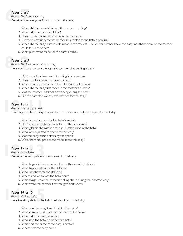# Pages 6 & 7<br>Theme: The Bair<br>Describe how Pages 6 & 7

*Theme: The Baby is Coming*

Describe how everyone found out about the baby.

- 1. When did the parents find out they were expecting?
- 2. Whom did the parents tell first?
- 3. How did siblings and relatives react to the news?
- 4. Are there any funny stories or thoughts related to the baby's coming?
- 5. When did the baby start to kick, move in womb, etc. his or her mother knew the baby was there because the mother could feel him or her?
- 6. What plans were made for the baby's arrival?

# Pages 8 & 9<br>Theme: The Exerpedia<br>Here you may Pages 8 & 9

*Theme: The Excitement of Expecting*

Here you may showcase the joys and wonder of expecting a baby.

- 1. Did the mother have any interesting food cravings?
- 2. How did others react to those cravings?
- 3. What were the reactions to the ultrasound of the baby?
- 4. When did the baby first move in the mother's tummy?
- 5. Was the mother in school or working during this time?
- 6. Did the parents have any expectations for the baby?

#### Pages 10 & 11

#### *Theme: Friends and Family*

Pages 10 & 11<br>Theme: Friends and Family<br>This is a great place to express gratitude for those who helped prepare for the baby.

- 1. Who helped prepare for the baby's arrival?
- 2. Did friends or relatives throw the mother a shower?
- 3. What gifts did the mother receive in celebration of the baby?
- 4. Who was expected to attend the delivery?
- 5. Was the baby named after anyone special?
- 6. Were there any predictions made about the baby?

#### Pages 12 & 13

*Theme: Baby Arrives*

Pages 12 & 13<br>
Theme: Baby Arrives<br>
Describe the anticipation and excitement of delivery.

- 1. What began to happen when the mother went into labor?
- 2. What happened during the delivery?
- 3. Who was there for the delivery?
- 4. Where and when was the baby born?
- 5. What things were the parents thinking about during the labor/delivery?
- 6. What were the parents' first thoughts and words?

#### Pages 14 & 15

**Pages 14 & 15**<br>
Theme: Vital Statistics<br>
Here the story shifts to the baby! Tell about your little baby. *Theme: Vital Statistics*

- 1. What was the weight and height of the baby?
- 2. What comments did people make about the baby?
- 3. Whom did the baby look like?
- 4. Who gave the baby his or her first bath?
- 5. What was the name of the baby's doctor?
- 6. Where was the baby born?